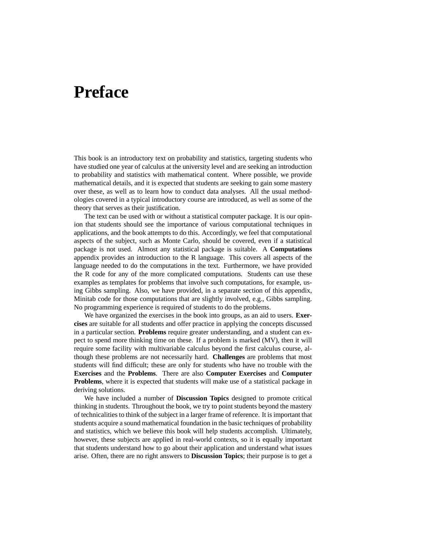## **Preface**

This book is an introductory text on probability and statistics, targeting students who have studied one year of calculus at the university level and are seeking an introduction to probability and statistics with mathematical content. Where possible, we provide mathematical details, and it is expected that students are seeking to gain some mastery over these, as well as to learn how to conduct data analyses. All the usual methodologies covered in a typical introductory course are introduced, as well as some of the theory that serves as their justification.

The text can be used with or without a statistical computer package. It is our opinion that students should see the importance of various computational techniques in applications, and the book attempts to do this. Accordingly, we feel that computational aspects of the subject, such as Monte Carlo, should be covered, even if a statistical package is not used. Almost any statistical package is suitable. A **Computations** appendix provides an introduction to the R language. This covers all aspects of the language needed to do the computations in the text. Furthermore, we have provided the R code for any of the more complicated computations. Students can use these examples as templates for problems that involve such computations, for example, using Gibbs sampling. Also, we have provided, in a separate section of this appendix, Minitab code for those computations that are slightly involved, e.g., Gibbs sampling. No programming experience is required of students to do the problems.

We have organized the exercises in the book into groups, as an aid to users. **Exercises** are suitable for all students and offer practice in applying the concepts discussed in a particular section. **Problems** require greater understanding, and a student can expect to spend more thinking time on these. If a problem is marked (MV), then it will require some facility with multivariable calculus beyond the first calculus course, although these problems are not necessarily hard. **Challenges** are problems that most students will find difficult; these are only for students who have no trouble with the **Exercises** and the **Problems**. There are also **Computer Exercises** and **Computer Problems**, where it is expected that students will make use of a statistical package in deriving solutions.

We have included a number of **Discussion Topics** designed to promote critical thinking in students. Throughout the book, we try to point students beyond the mastery of technicalities to think of the subject in a larger frame of reference. It is important that students acquire a sound mathematical foundation in the basic techniques of probability and statistics, which we believe this book will help students accomplish. Ultimately, however, these subjects are applied in real-world contexts, so it is equally important that students understand how to go about their application and understand what issues arise. Often, there are no right answers to **Discussion Topics**; their purpose is to get a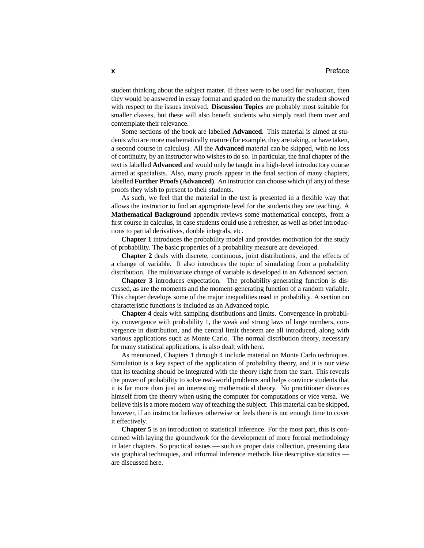student thinking about the subject matter. If these were to be used for evaluation, then they would be answered in essay format and graded on the maturity the student showed with respect to the issues involved. **Discussion Topics** are probably most suitable for smaller classes, but these will also benefit students who simply read them over and contemplate their relevance.

Some sections of the book are labelled **Advanced**. This material is aimed at students who are more mathematically mature (for example, they are taking, or have taken, a second course in calculus). All the **Advanced** material can be skipped, with no loss of continuity, by an instructor who wishes to do so. In particular, the final chapter of the text is labelled **Advanced** and would only be taught in a high-level introductory course aimed at specialists. Also, many proofs appear in the final section of many chapters, labelled **Further Proofs (Advanced)**. An instructor can choose which (if any) of these proofs they wish to present to their students.

As such, we feel that the material in the text is presented in a flexible way that allows the instructor to find an appropriate level for the students they are teaching. A **Mathematical Background** appendix reviews some mathematical concepts, from a first course in calculus, in case students could use a refresher, as well as brief introductions to partial derivatives, double integrals, etc.

**Chapter 1** introduces the probability model and provides motivation for the study of probability. The basic properties of a probability measure are developed.

**Chapter 2** deals with discrete, continuous, joint distributions, and the effects of a change of variable. It also introduces the topic of simulating from a probability distribution. The multivariate change of variable is developed in an Advanced section.

**Chapter 3** introduces expectation. The probability-generating function is discussed, as are the moments and the moment-generating function of a random variable. This chapter develops some of the major inequalities used in probability. A section on characteristic functions is included as an Advanced topic.

**Chapter 4** deals with sampling distributions and limits. Convergence in probability, convergence with probability 1, the weak and strong laws of large numbers, convergence in distribution, and the central limit theorem are all introduced, along with various applications such as Monte Carlo. The normal distribution theory, necessary for many statistical applications, is also dealt with here.

As mentioned, Chapters 1 through 4 include material on Monte Carlo techniques. Simulation is a key aspect of the application of probability theory, and it is our view that its teaching should be integrated with the theory right from the start. This reveals the power of probability to solve real-world problems and helps convince students that it is far more than just an interesting mathematical theory. No practitioner divorces himself from the theory when using the computer for computations or vice versa. We believe this is a more modern way of teaching the subject. This material can be skipped, however, if an instructor believes otherwise or feels there is not enough time to cover it effectively.

**Chapter 5** is an introduction to statistical inference. For the most part, this is concerned with laying the groundwork for the development of more formal methodology in later chapters. So practical issues — such as proper data collection, presenting data via graphical techniques, and informal inference methods like descriptive statistics are discussed here.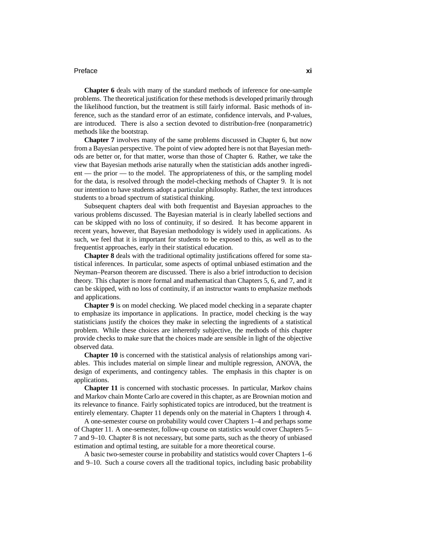## Preface **xi**

**Chapter 6** deals with many of the standard methods of inference for one-sample problems. The theoretical justification for these methods is developed primarily through the likelihood function, but the treatment is still fairly informal. Basic methods of inference, such as the standard error of an estimate, confidence intervals, and P-values, are introduced. There is also a section devoted to distribution-free (nonparametric) methods like the bootstrap.

**Chapter 7** involves many of the same problems discussed in Chapter 6, but now from a Bayesian perspective. The point of view adopted here is not that Bayesian methods are better or, for that matter, worse than those of Chapter 6. Rather, we take the view that Bayesian methods arise naturally when the statistician adds another ingredient — the prior — to the model. The appropriateness of this, or the sampling model for the data, is resolved through the model-checking methods of Chapter 9. It is not our intention to have students adopt a particular philosophy. Rather, the text introduces students to a broad spectrum of statistical thinking.

Subsequent chapters deal with both frequentist and Bayesian approaches to the various problems discussed. The Bayesian material is in clearly labelled sections and can be skipped with no loss of continuity, if so desired. It has become apparent in recent years, however, that Bayesian methodology is widely used in applications. As such, we feel that it is important for students to be exposed to this, as well as to the frequentist approaches, early in their statistical education.

**Chapter 8** deals with the traditional optimality justifications offered for some statistical inferences. In particular, some aspects of optimal unbiased estimation and the Neyman–Pearson theorem are discussed. There is also a brief introduction to decision theory. This chapter is more formal and mathematical than Chapters 5, 6, and 7, and it can be skipped, with no loss of continuity, if an instructor wants to emphasize methods and applications.

**Chapter 9** is on model checking. We placed model checking in a separate chapter to emphasize its importance in applications. In practice, model checking is the way statisticians justify the choices they make in selecting the ingredients of a statistical problem. While these choices are inherently subjective, the methods of this chapter provide checks to make sure that the choices made are sensible in light of the objective observed data.

**Chapter 10** is concerned with the statistical analysis of relationships among variables. This includes material on simple linear and multiple regression, ANOVA, the design of experiments, and contingency tables. The emphasis in this chapter is on applications.

**Chapter 11** is concerned with stochastic processes. In particular, Markov chains and Markov chain Monte Carlo are covered in this chapter, as are Brownian motion and its relevance to finance. Fairly sophisticated topics are introduced, but the treatment is entirely elementary. Chapter 11 depends only on the material in Chapters 1 through 4.

A one-semester course on probability would cover Chapters 1–4 and perhaps some of Chapter 11. A one-semester, follow-up course on statistics would cover Chapters 5– 7 and 9–10. Chapter 8 is not necessary, but some parts, such as the theory of unbiased estimation and optimal testing, are suitable for a more theoretical course.

A basic two-semester course in probability and statistics would cover Chapters 1–6 and 9–10. Such a course covers all the traditional topics, including basic probability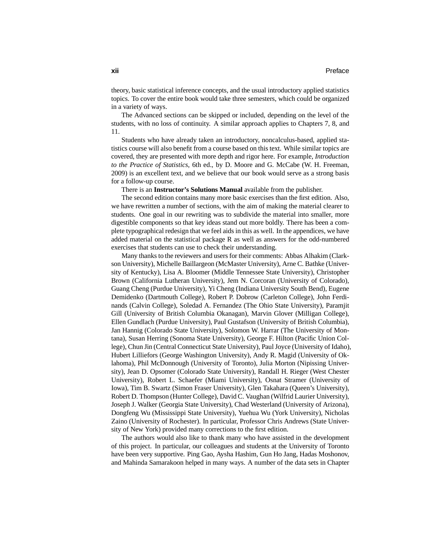theory, basic statistical inference concepts, and the usual introductory applied statistics topics. To cover the entire book would take three semesters, which could be organized in a variety of ways.

The Advanced sections can be skipped or included, depending on the level of the students, with no loss of continuity. A similar approach applies to Chapters 7, 8, and 11.

Students who have already taken an introductory, noncalculus-based, applied statistics course will also benefit from a course based on this text. While similar topics are covered, they are presented with more depth and rigor here. For example, *Introduction to the Practice of Statistics*, 6th ed., by D. Moore and G. McCabe (W. H. Freeman, 2009) is an excellent text, and we believe that our book would serve as a strong basis for a follow-up course.

There is an **Instructor's Solutions Manual** available from the publisher.

The second edition contains many more basic exercises than the first edition. Also, we have rewritten a number of sections, with the aim of making the material clearer to students. One goal in our rewriting was to subdivide the material into smaller, more digestible components so that key ideas stand out more boldly. There has been a complete typographical redesign that we feel aids in this as well. In the appendices, we have added material on the statistical package R as well as answers for the odd-numbered exercises that students can use to check their understanding.

Many thanks to the reviewers and users for their comments: Abbas Alhakim (Clarkson University), Michelle Baillargeon (McMaster University), Arne C. Bathke (University of Kentucky), Lisa A. Bloomer (Middle Tennessee State University), Christopher Brown (California Lutheran University), Jem N. Corcoran (University of Colorado), Guang Cheng (Purdue University), Yi Cheng (Indiana University South Bend), Eugene Demidenko (Dartmouth College), Robert P. Dobrow (Carleton College), John Ferdinands (Calvin College), Soledad A. Fernandez (The Ohio State University), Paramjit Gill (University of British Columbia Okanagan), Marvin Glover (Milligan College), Ellen Gundlach (Purdue University), Paul Gustafson (University of British Columbia), Jan Hannig (Colorado State University), Solomon W. Harrar (The University of Montana), Susan Herring (Sonoma State University), George F. Hilton (Pacific Union College), Chun Jin (Central Connecticut State University), Paul Joyce (University of Idaho), Hubert Lilliefors (George Washington University), Andy R. Magid (University of Oklahoma), Phil McDonnough (University of Toronto), Julia Morton (Nipissing University), Jean D. Opsomer (Colorado State University), Randall H. Rieger (West Chester University), Robert L. Schaefer (Miami University), Osnat Stramer (University of Iowa), Tim B. Swartz (Simon Fraser University), Glen Takahara (Queen's University), Robert D. Thompson (Hunter College), David C. Vaughan (Wilfrid Laurier University), Joseph J. Walker (Georgia State University), Chad Westerland (University of Arizona), Dongfeng Wu (Mississippi State University), Yuehua Wu (York University), Nicholas Zaino (University of Rochester). In particular, Professor Chris Andrews (State University of New York) provided many corrections to the first edition.

The authors would also like to thank many who have assisted in the development of this project. In particular, our colleagues and students at the University of Toronto have been very supportive. Ping Gao, Aysha Hashim, Gun Ho Jang, Hadas Moshonov, and Mahinda Samarakoon helped in many ways. A number of the data sets in Chapter